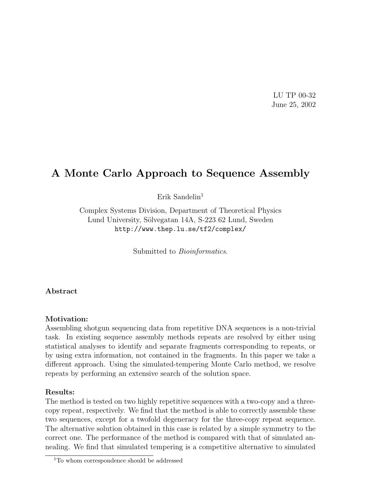LU TP 00-32 June 25, 2002

# A Monte Carlo Approach to Sequence Assembly

Erik Sandelin<sup>1</sup>

Complex Systems Division, Department of Theoretical Physics Lund University, Sölvegatan 14A, S-223 62 Lund, Sweden http://www.thep.lu.se/tf2/complex/

Submitted to Bioinformatics.

Abstract

#### Motivation:

Assembling shotgun sequencing data from repetitive DNA sequences is a non-trivial task. In existing sequence assembly methods repeats are resolved by either using statistical analyses to identify and separate fragments corresponding to repeats, or by using extra information, not contained in the fragments. In this paper we take a different approach. Using the simulated-tempering Monte Carlo method, we resolve repeats by performing an extensive search of the solution space.

#### Results:

The method is tested on two highly repetitive sequences with a two-copy and a threecopy repeat, respectively. We find that the method is able to correctly assemble these two sequences, except for a twofold degeneracy for the three-copy repeat sequence. The alternative solution obtained in this case is related by a simple symmetry to the correct one. The performance of the method is compared with that of simulated annealing. We find that simulated tempering is a competitive alternative to simulated

<sup>&</sup>lt;sup>1</sup>To whom correspondence should be addressed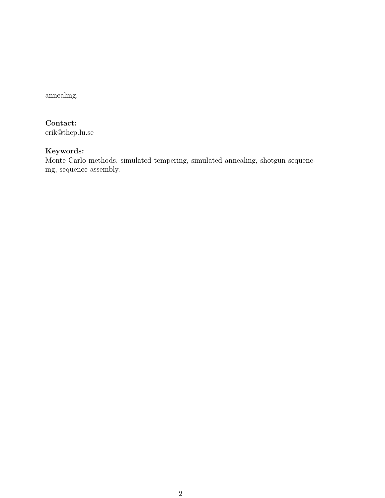annealing.

# Contact:

erik@thep.lu.se

### Keywords:

Monte Carlo methods, simulated tempering, simulated annealing, shotgun sequencing, sequence assembly.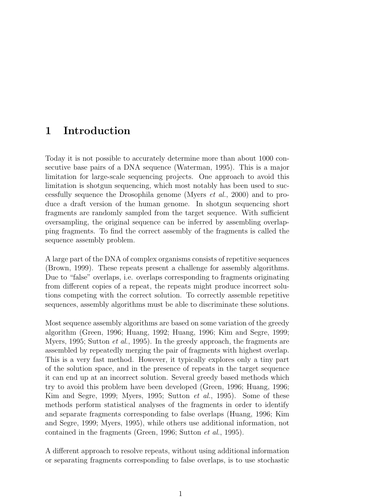# 1 Introduction

Today it is not possible to accurately determine more than about 1000 consecutive base pairs of a DNA sequence (Waterman, 1995). This is a major limitation for large-scale sequencing projects. One approach to avoid this limitation is shotgun sequencing, which most notably has been used to successfully sequence the Drosophila genome (Myers et al., 2000) and to produce a draft version of the human genome. In shotgun sequencing short fragments are randomly sampled from the target sequence. With sufficient oversampling, the original sequence can be inferred by assembling overlapping fragments. To find the correct assembly of the fragments is called the sequence assembly problem.

A large part of the DNA of complex organisms consists of repetitive sequences (Brown, 1999). These repeats present a challenge for assembly algorithms. Due to "false" overlaps, i.e. overlaps corresponding to fragments originating from different copies of a repeat, the repeats might produce incorrect solutions competing with the correct solution. To correctly assemble repetitive sequences, assembly algorithms must be able to discriminate these solutions.

Most sequence assembly algorithms are based on some variation of the greedy algorithm (Green, 1996; Huang, 1992; Huang, 1996; Kim and Segre, 1999; Myers, 1995; Sutton *et al.*, 1995). In the greedy approach, the fragments are assembled by repeatedly merging the pair of fragments with highest overlap. This is a very fast method. However, it typically explores only a tiny part of the solution space, and in the presence of repeats in the target sequence it can end up at an incorrect solution. Several greedy based methods which try to avoid this problem have been developed (Green, 1996; Huang, 1996; Kim and Segre, 1999; Myers, 1995; Sutton  $et \ al.,\ 1995$ ). Some of these methods perform statistical analyses of the fragments in order to identify and separate fragments corresponding to false overlaps (Huang, 1996; Kim and Segre, 1999; Myers, 1995), while others use additional information, not contained in the fragments (Green, 1996; Sutton et al., 1995).

A different approach to resolve repeats, without using additional information or separating fragments corresponding to false overlaps, is to use stochastic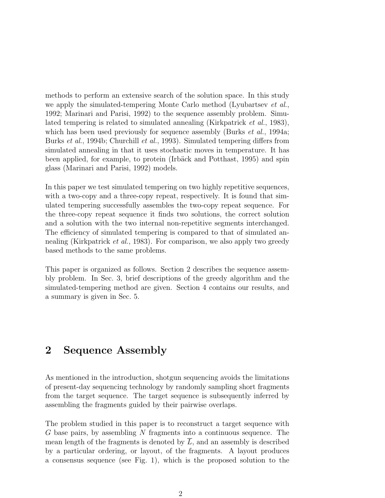methods to perform an extensive search of the solution space. In this study we apply the simulated-tempering Monte Carlo method (Lyubartsev et al., 1992; Marinari and Parisi, 1992) to the sequence assembly problem. Simulated tempering is related to simulated annealing (Kirkpatrick et al., 1983), which has been used previously for sequence assembly (Burks *et al.*, 1994a; Burks et al., 1994b; Churchill et al., 1993). Simulated tempering differs from simulated annealing in that it uses stochastic moves in temperature. It has been applied, for example, to protein (Irbäck and Potthast, 1995) and spin glass (Marinari and Parisi, 1992) models.

In this paper we test simulated tempering on two highly repetitive sequences, with a two-copy and a three-copy repeat, respectively. It is found that simulated tempering successfully assembles the two-copy repeat sequence. For the three-copy repeat sequence it finds two solutions, the correct solution and a solution with the two internal non-repetitive segments interchanged. The efficiency of simulated tempering is compared to that of simulated annealing (Kirkpatrick *et al.*, 1983). For comparison, we also apply two greedy based methods to the same problems.

This paper is organized as follows. Section 2 describes the sequence assembly problem. In Sec. 3, brief descriptions of the greedy algorithm and the simulated-tempering method are given. Section 4 contains our results, and a summary is given in Sec. 5.

# 2 Sequence Assembly

As mentioned in the introduction, shotgun sequencing avoids the limitations of present-day sequencing technology by randomly sampling short fragments from the target sequence. The target sequence is subsequently inferred by assembling the fragments guided by their pairwise overlaps.

The problem studied in this paper is to reconstruct a target sequence with  $G$  base pairs, by assembling  $N$  fragments into a continuous sequence. The mean length of the fragments is denoted by  $\overline{L}$ , and an assembly is described by a particular ordering, or layout, of the fragments. A layout produces a consensus sequence (see Fig. 1), which is the proposed solution to the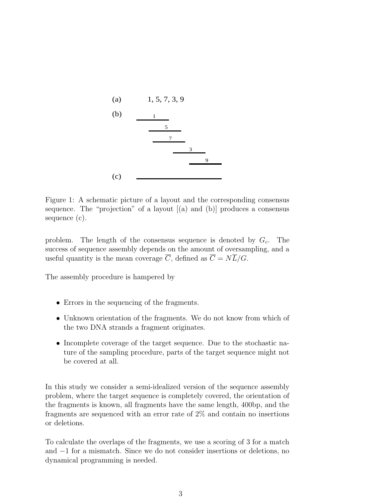

Figure 1: A schematic picture of a layout and the corresponding consensus sequence. The "projection" of a layout  $[(a)$  and  $(b)]$  produces a consensus sequence (c).

problem. The length of the consensus sequence is denoted by  $G_c$ . The success of sequence assembly depends on the amount of oversampling, and a useful quantity is the mean coverage  $\overline{C}$ , defined as  $\overline{C} = N\overline{L}/G$ .

The assembly procedure is hampered by

- Errors in the sequencing of the fragments.
- Unknown orientation of the fragments. We do not know from which of the two DNA strands a fragment originates.
- Incomplete coverage of the target sequence. Due to the stochastic nature of the sampling procedure, parts of the target sequence might not be covered at all.

In this study we consider a semi-idealized version of the sequence assembly problem, where the target sequence is completely covered, the orientation of the fragments is known, all fragments have the same length, 400bp, and the fragments are sequenced with an error rate of 2% and contain no insertions or deletions.

To calculate the overlaps of the fragments, we use a scoring of 3 for a match and −1 for a mismatch. Since we do not consider insertions or deletions, no dynamical programming is needed.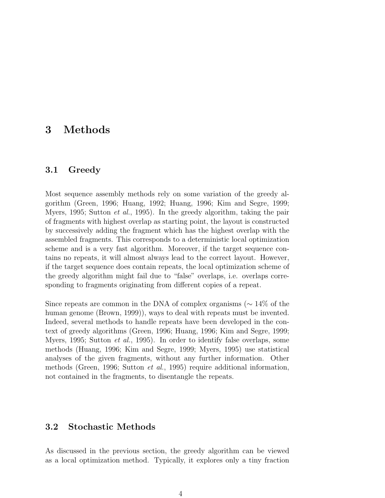## 3 Methods

#### 3.1 Greedy

Most sequence assembly methods rely on some variation of the greedy algorithm (Green, 1996; Huang, 1992; Huang, 1996; Kim and Segre, 1999; Myers, 1995; Sutton et al., 1995). In the greedy algorithm, taking the pair of fragments with highest overlap as starting point, the layout is constructed by successively adding the fragment which has the highest overlap with the assembled fragments. This corresponds to a deterministic local optimization scheme and is a very fast algorithm. Moreover, if the target sequence contains no repeats, it will almost always lead to the correct layout. However, if the target sequence does contain repeats, the local optimization scheme of the greedy algorithm might fail due to "false" overlaps, i.e. overlaps corresponding to fragments originating from different copies of a repeat.

Since repeats are common in the DNA of complex organisms ( $\sim$  14% of the human genome (Brown, 1999)), ways to deal with repeats must be invented. Indeed, several methods to handle repeats have been developed in the context of greedy algorithms (Green, 1996; Huang, 1996; Kim and Segre, 1999; Myers, 1995; Sutton et al., 1995). In order to identify false overlaps, some methods (Huang, 1996; Kim and Segre, 1999; Myers, 1995) use statistical analyses of the given fragments, without any further information. Other methods (Green, 1996; Sutton et al., 1995) require additional information, not contained in the fragments, to disentangle the repeats.

#### 3.2 Stochastic Methods

As discussed in the previous section, the greedy algorithm can be viewed as a local optimization method. Typically, it explores only a tiny fraction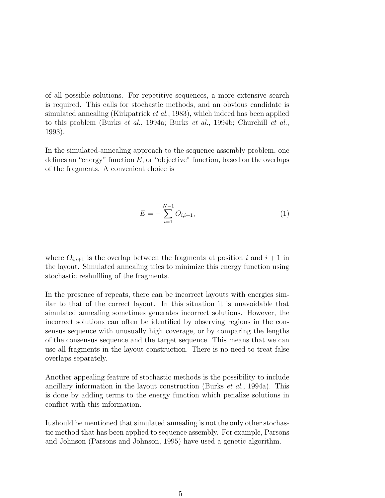of all possible solutions. For repetitive sequences, a more extensive search is required. This calls for stochastic methods, and an obvious candidate is simulated annealing (Kirkpatrick et al., 1983), which indeed has been applied to this problem (Burks et al., 1994a; Burks et al., 1994b; Churchill et al., 1993).

In the simulated-annealing approach to the sequence assembly problem, one defines an "energy" function  $E$ , or "objective" function, based on the overlaps of the fragments. A convenient choice is

$$
E = -\sum_{i=1}^{N-1} O_{i,i+1},
$$
\n(1)

where  $O_{i,i+1}$  is the overlap between the fragments at position i and  $i+1$  in the layout. Simulated annealing tries to minimize this energy function using stochastic reshuffling of the fragments.

In the presence of repeats, there can be incorrect layouts with energies similar to that of the correct layout. In this situation it is unavoidable that simulated annealing sometimes generates incorrect solutions. However, the incorrect solutions can often be identified by observing regions in the consensus sequence with unusually high coverage, or by comparing the lengths of the consensus sequence and the target sequence. This means that we can use all fragments in the layout construction. There is no need to treat false overlaps separately.

Another appealing feature of stochastic methods is the possibility to include ancillary information in the layout construction (Burks et al., 1994a). This is done by adding terms to the energy function which penalize solutions in conflict with this information.

It should be mentioned that simulated annealing is not the only other stochastic method that has been applied to sequence assembly. For example, Parsons and Johnson (Parsons and Johnson, 1995) have used a genetic algorithm.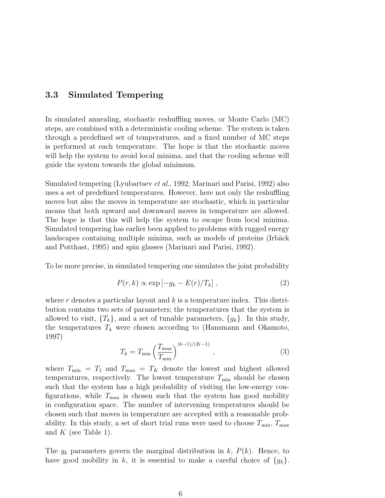#### 3.3 Simulated Tempering

In simulated annealing, stochastic reshuffling moves, or Monte Carlo (MC) steps, are combined with a deterministic cooling scheme. The system is taken through a predefined set of temperatures, and a fixed number of MC steps is performed at each temperature. The hope is that the stochastic moves will help the system to avoid local minima, and that the cooling scheme will guide the system towards the global minimum.

Simulated tempering (Lyubartsev et al., 1992; Marinari and Parisi, 1992) also uses a set of predefined temperatures. However, here not only the reshuffling moves but also the moves in temperature are stochastic, which in particular means that both upward and downward moves in temperature are allowed. The hope is that this will help the system to escape from local minima. Simulated tempering has earlier been applied to problems with rugged energy landscapes containing multiple minima, such as models of proteins (Irbäck and Potthast, 1995) and spin glasses (Marinari and Parisi, 1992).

To be more precise, in simulated tempering one simulates the joint probability

$$
P(r,k) \propto \exp\left[-g_k - E(r)/T_k\right],\tag{2}
$$

where  $r$  denotes a particular layout and  $k$  is a temperature index. This distribution contains two sets of parameters; the temperatures that the system is allowed to visit,  ${T_k}$ , and a set of tunable parameters,  ${g_k}$ . In this study, the temperatures  $T_k$  were chosen according to (Hansmann and Okamoto, 1997)

$$
T_k = T_{\min} \left( \frac{T_{\max}}{T_{\min}} \right)^{(k-1)/(K-1)}, \qquad (3)
$$

where  $T_{\min} = T_1$  and  $T_{\max} = T_K$  denote the lowest and highest allowed temperatures, respectively. The lowest temperature  $T_{\min}$  should be chosen such that the system has a high probability of visiting the low-energy configurations, while  $T_{\text{max}}$  is chosen such that the system has good mobility in configuration space. The number of intervening temperatures should be chosen such that moves in temperature are accepted with a reasonable probability. In this study, a set of short trial runs were used to choose  $T_{\min}$ ,  $T_{\max}$ and  $K$  (see Table 1).

The  $g_k$  parameters govern the marginal distribution in k,  $P(k)$ . Hence, to have good mobility in k, it is essential to make a careful choice of  $\{g_k\}$ .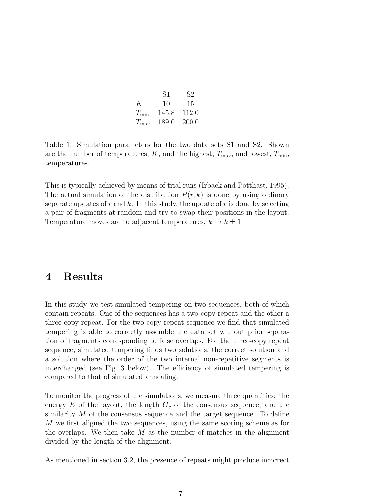|               | S1    | 82    |
|---------------|-------|-------|
| K             | 10    | 15    |
| $T_{\rm min}$ | 145.8 | 112.0 |
| $T_{\rm max}$ | 189.0 | 200.0 |

Table 1: Simulation parameters for the two data sets S1 and S2. Shown are the number of temperatures,  $K$ , and the highest,  $T_{\text{max}}$ , and lowest,  $T_{\text{min}}$ , temperatures.

This is typically achieved by means of trial runs (Irbäck and Potthast, 1995). The actual simulation of the distribution  $P(r, k)$  is done by using ordinary separate updates of r and k. In this study, the update of r is done by selecting a pair of fragments at random and try to swap their positions in the layout. Temperature moves are to adjacent temperatures,  $k \to k \pm 1$ .

### 4 Results

In this study we test simulated tempering on two sequences, both of which contain repeats. One of the sequences has a two-copy repeat and the other a three-copy repeat. For the two-copy repeat sequence we find that simulated tempering is able to correctly assemble the data set without prior separation of fragments corresponding to false overlaps. For the three-copy repeat sequence, simulated tempering finds two solutions, the correct solution and a solution where the order of the two internal non-repetitive segments is interchanged (see Fig. 3 below). The efficiency of simulated tempering is compared to that of simulated annealing.

To monitor the progress of the simulations, we measure three quantities: the energy  $E$  of the layout, the length  $G_c$  of the consensus sequence, and the similarity M of the consensus sequence and the target sequence. To define M we first aligned the two sequences, using the same scoring scheme as for the overlaps. We then take  $M$  as the number of matches in the alignment divided by the length of the alignment.

As mentioned in section 3.2, the presence of repeats might produce incorrect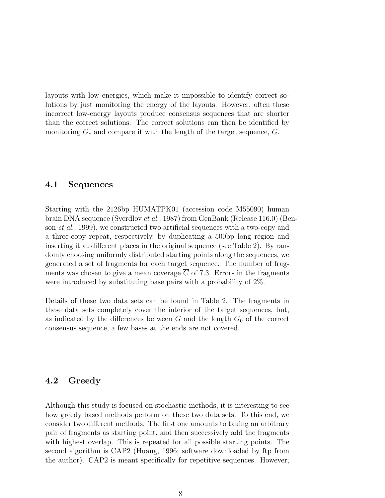layouts with low energies, which make it impossible to identify correct solutions by just monitoring the energy of the layouts. However, often these incorrect low-energy layouts produce consensus sequences that are shorter than the correct solutions. The correct solutions can then be identified by monitoring  $G_c$  and compare it with the length of the target sequence,  $G$ .

#### 4.1 Sequences

Starting with the 2126bp HUMATPK01 (accession code M55090) human brain DNA sequence (Sverdlov et al., 1987) from GenBank (Release 116.0) (Benson et al., 1999), we constructed two artificial sequences with a two-copy and a three-copy repeat, respectively, by duplicating a 500bp long region and inserting it at different places in the original sequence (see Table 2). By randomly choosing uniformly distributed starting points along the sequences, we generated a set of fragments for each target sequence. The number of fragments was chosen to give a mean coverage  $\overline{C}$  of 7.3. Errors in the fragments were introduced by substituting base pairs with a probability of 2%.

Details of these two data sets can be found in Table 2. The fragments in these data sets completely cover the interior of the target sequences, but, as indicated by the differences between  $G$  and the length  $G_0$  of the correct consensus sequence, a few bases at the ends are not covered.

#### 4.2 Greedy

Although this study is focused on stochastic methods, it is interesting to see how greedy based methods perform on these two data sets. To this end, we consider two different methods. The first one amounts to taking an arbitrary pair of fragments as starting point, and then successively add the fragments with highest overlap. This is repeated for all possible starting points. The second algorithm is CAP2 (Huang, 1996; software downloaded by ftp from the author). CAP2 is meant specifically for repetitive sequences. However,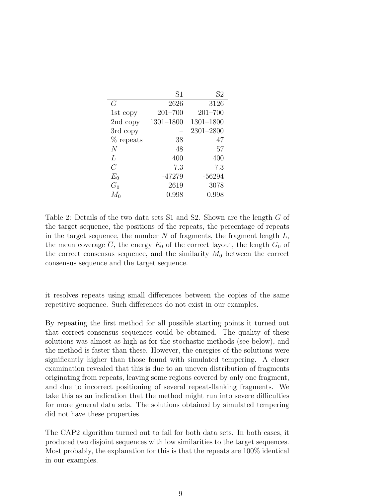|                | S <sub>1</sub> | S <sub>2</sub> |
|----------------|----------------|----------------|
| G              | 2626           | 3126           |
| 1st copy       | $201 - 700$    | $201 - 700$    |
| 2nd copy       | $1301 - 1800$  | $1301 - 1800$  |
| 3rd copy       |                | $2301 - 2800$  |
| % repeats      | 38             | 47             |
| $\overline{N}$ | 48             | 57             |
| L              | 400            | 400            |
| $\overline{C}$ | 7.3            | 7.3            |
| $E_0$          | -47279         | $-56294$       |
| $G_0$          | 2619           | 3078           |
| $M_0$          | 0.998          | 0.998          |

Table 2: Details of the two data sets S1 and S2. Shown are the length G of the target sequence, the positions of the repeats, the percentage of repeats in the target sequence, the number  $N$  of fragments, the fragment length  $L$ , the mean coverage  $\overline{C}$ , the energy  $E_0$  of the correct layout, the length  $G_0$  of the correct consensus sequence, and the similarity  $M_0$  between the correct consensus sequence and the target sequence.

it resolves repeats using small differences between the copies of the same repetitive sequence. Such differences do not exist in our examples.

By repeating the first method for all possible starting points it turned out that correct consensus sequences could be obtained. The quality of these solutions was almost as high as for the stochastic methods (see below), and the method is faster than these. However, the energies of the solutions were significantly higher than those found with simulated tempering. A closer examination revealed that this is due to an uneven distribution of fragments originating from repeats, leaving some regions covered by only one fragment, and due to incorrect positioning of several repeat-flanking fragments. We take this as an indication that the method might run into severe difficulties for more general data sets. The solutions obtained by simulated tempering did not have these properties.

The CAP2 algorithm turned out to fail for both data sets. In both cases, it produced two disjoint sequences with low similarities to the target sequences. Most probably, the explanation for this is that the repeats are 100% identical in our examples.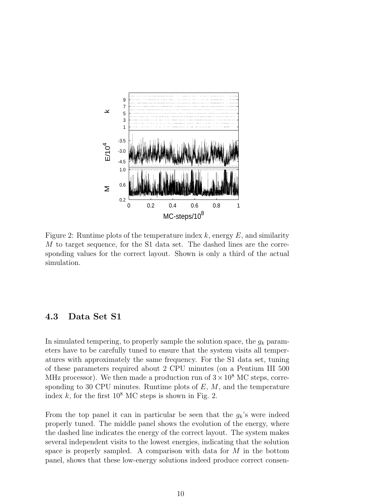

Figure 2: Runtime plots of the temperature index  $k$ , energy  $E$ , and similarity M to target sequence, for the S1 data set. The dashed lines are the corresponding values for the correct layout. Shown is only a third of the actual simulation.

#### 4.3 Data Set S1

In simulated tempering, to properly sample the solution space, the  $g_k$  parameters have to be carefully tuned to ensure that the system visits all temperatures with approximately the same frequency. For the S1 data set, tuning of these parameters required about 2 CPU minutes (on a Pentium III 500 MHz processor). We then made a production run of  $3 \times 10^8$  MC steps, corresponding to 30 CPU minutes. Runtime plots of  $E, M$ , and the temperature index k, for the first  $10^8$  MC steps is shown in Fig. 2.

From the top panel it can in particular be seen that the  $g_k$ 's were indeed properly tuned. The middle panel shows the evolution of the energy, where the dashed line indicates the energy of the correct layout. The system makes several independent visits to the lowest energies, indicating that the solution space is properly sampled. A comparison with data for  $M$  in the bottom panel, shows that these low-energy solutions indeed produce correct consen-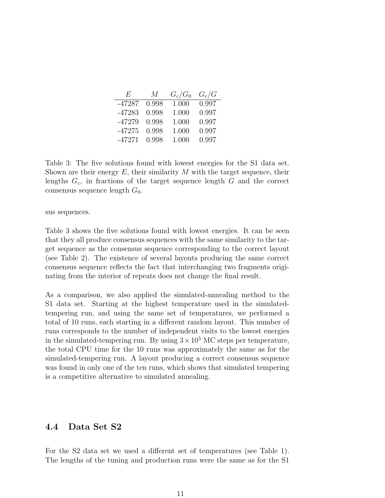| $F_{i}$  | M     | $G_c/G_0$ | $G_c/G$ |
|----------|-------|-----------|---------|
| $-47287$ | 0.998 | 1.000     | 0.997   |
| $-47283$ | 0.998 | 1.000     | 0.997   |
| $-47279$ | 0.998 | 1.000     | 0.997   |
| $-47275$ | 0.998 | 1.000     | 0.997   |
| $-47271$ | 0.998 | 1.000     | 0.997   |

Table 3: The five solutions found with lowest energies for the S1 data set. Shown are their energy  $E$ , their similarity  $M$  with the target sequence, their lengths  $G_c$ , in fractions of the target sequence length  $G$  and the correct consensus sequence length  $G_0$ .

sus sequences.

Table 3 shows the five solutions found with lowest energies. It can be seen that they all produce consensus sequences with the same similarity to the target sequence as the consensus sequence corresponding to the correct layout (see Table 2). The existence of several layouts producing the same correct consensus sequence reflects the fact that interchanging two fragments originating from the interior of repeats does not change the final result.

As a comparison, we also applied the simulated-annealing method to the S1 data set. Starting at the highest temperature used in the simulatedtempering run, and using the same set of temperatures, we performed a total of 10 runs, each starting in a different random layout. This number of runs corresponds to the number of independent visits to the lowest energies in the simulated-tempering run. By using  $3 \times 10^5$  MC steps per temperature, the total CPU time for the 10 runs was approximately the same as for the simulated-tempering run. A layout producing a correct consensus sequence was found in only one of the ten runs, which shows that simulated tempering is a competitive alternative to simulated annealing.

#### 4.4 Data Set S2

For the S2 data set we used a different set of temperatures (see Table 1). The lengths of the tuning and production runs were the same as for the S1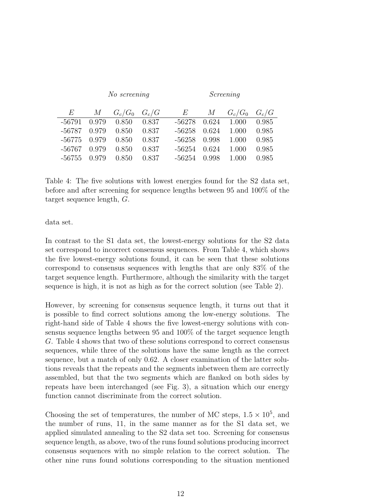|          | No screening |                   |       | Screening |       |               |         |
|----------|--------------|-------------------|-------|-----------|-------|---------------|---------|
| $E^-$    | $M_{\odot}$  | $G_c/G_0$ $G_c/G$ |       | E         |       | $M$ $G_c/G_0$ | $G_c/G$ |
| $-56791$ | 0.979        | 0.850             | 0.837 | -56278    | 0.624 | 1.000         | 0.985   |
| -56787   | 0.979        | 0.850             | 0.837 | $-56258$  | 0.624 | 1.000         | 0.985   |
| -56775   | 0.979        | 0.850             | 0.837 | $-56258$  | 0.998 | 1.000         | 0.985   |
| -56767   | 0.979        | 0.850             | 0.837 | -56254    | 0.624 | 1.000         | 0.985   |
| -56755   | 0.979        | 0.850             | 0.837 | -56254    | 0.998 | 1.000         | 0.985   |

Table 4: The five solutions with lowest energies found for the S2 data set, before and after screening for sequence lengths between 95 and 100% of the target sequence length, G.

data set.

In contrast to the S1 data set, the lowest-energy solutions for the S2 data set correspond to incorrect consensus sequences. From Table 4, which shows the five lowest-energy solutions found, it can be seen that these solutions correspond to consensus sequences with lengths that are only 83% of the target sequence length. Furthermore, although the similarity with the target sequence is high, it is not as high as for the correct solution (see Table 2).

However, by screening for consensus sequence length, it turns out that it is possible to find correct solutions among the low-energy solutions. The right-hand side of Table 4 shows the five lowest-energy solutions with consensus sequence lengths between 95 and 100% of the target sequence length G. Table 4 shows that two of these solutions correspond to correct consensus sequences, while three of the solutions have the same length as the correct sequence, but a match of only 0.62. A closer examination of the latter solutions reveals that the repeats and the segments inbetween them are correctly assembled, but that the two segments which are flanked on both sides by repeats have been interchanged (see Fig. 3), a situation which our energy function cannot discriminate from the correct solution.

Choosing the set of temperatures, the number of MC steps,  $1.5 \times 10^5$ , and the number of runs, 11, in the same manner as for the S1 data set, we applied simulated annealing to the S2 data set too. Screening for consensus sequence length, as above, two of the runs found solutions producing incorrect consensus sequences with no simple relation to the correct solution. The other nine runs found solutions corresponding to the situation mentioned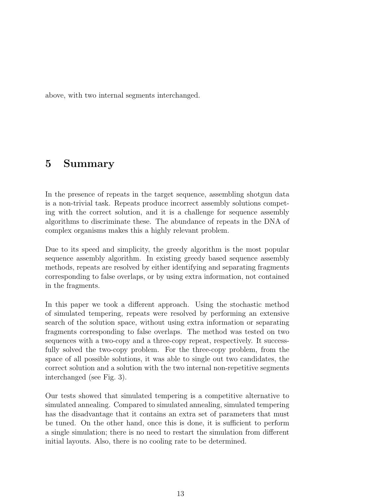above, with two internal segments interchanged.

# 5 Summary

In the presence of repeats in the target sequence, assembling shotgun data is a non-trivial task. Repeats produce incorrect assembly solutions competing with the correct solution, and it is a challenge for sequence assembly algorithms to discriminate these. The abundance of repeats in the DNA of complex organisms makes this a highly relevant problem.

Due to its speed and simplicity, the greedy algorithm is the most popular sequence assembly algorithm. In existing greedy based sequence assembly methods, repeats are resolved by either identifying and separating fragments corresponding to false overlaps, or by using extra information, not contained in the fragments.

In this paper we took a different approach. Using the stochastic method of simulated tempering, repeats were resolved by performing an extensive search of the solution space, without using extra information or separating fragments corresponding to false overlaps. The method was tested on two sequences with a two-copy and a three-copy repeat, respectively. It successfully solved the two-copy problem. For the three-copy problem, from the space of all possible solutions, it was able to single out two candidates, the correct solution and a solution with the two internal non-repetitive segments interchanged (see Fig. 3).

Our tests showed that simulated tempering is a competitive alternative to simulated annealing. Compared to simulated annealing, simulated tempering has the disadvantage that it contains an extra set of parameters that must be tuned. On the other hand, once this is done, it is sufficient to perform a single simulation; there is no need to restart the simulation from different initial layouts. Also, there is no cooling rate to be determined.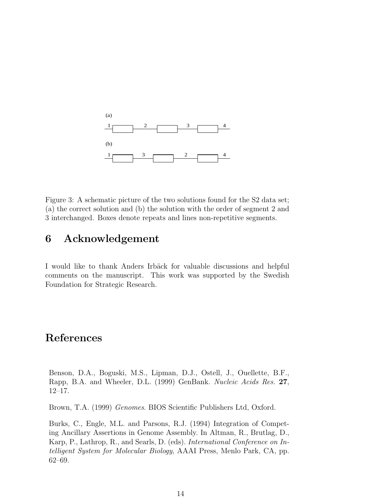

Figure 3: A schematic picture of the two solutions found for the S2 data set; (a) the correct solution and (b) the solution with the order of segment 2 and 3 interchanged. Boxes denote repeats and lines non-repetitive segments.

## 6 Acknowledgement

I would like to thank Anders Irbäck for valuable discussions and helpful comments on the manuscript. This work was supported by the Swedish Foundation for Strategic Research.

## References

Benson, D.A., Boguski, M.S., Lipman, D.J., Ostell, J., Ouellette, B.F., Rapp, B.A. and Wheeler, D.L. (1999) GenBank. Nucleic Acids Res. 27, 12–17.

Brown, T.A. (1999) Genomes. BIOS Scientific Publishers Ltd, Oxford.

Burks, C., Engle, M.L. and Parsons, R.J. (1994) Integration of Competing Ancillary Assertions in Genome Assembly. In Altman, R., Brutlag, D., Karp, P., Lathrop, R., and Searls, D. (eds). International Conference on Intelligent System for Molecular Biology, AAAI Press, Menlo Park, CA, pp. 62–69.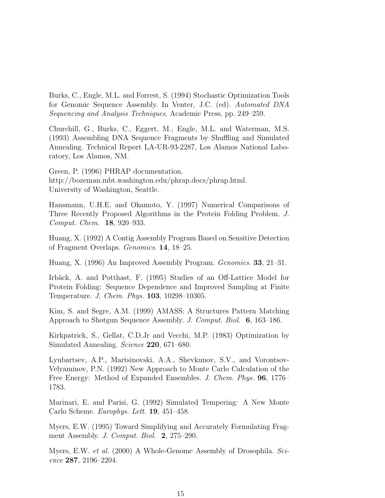Burks, C., Engle, M.L. and Forrest, S. (1994) Stochastic Optimization Tools for Genomic Sequence Assembly. In Venter, J.C. (ed). Automated DNA Sequencing and Analysis Techniques, Academic Press, pp. 249–259.

Churchill, G., Burks, C., Eggert, M., Engle, M.L. and Waterman, M.S. (1993) Assembling DNA Sequence Fragments by Shuffling and Simulated Annealing. Technical Report LA-UR-93-2287, Los Alamos National Laboratory, Los Alamos, NM.

Green, P. (1996) PHRAP documentation. http://bozeman.mbt.washington.edu/phrap.docs/phrap.html. University of Washington, Seattle.

Hansmann, U.H.E. and Okamoto, Y. (1997) Numerical Comparisons of Three Recently Proposed Algorithms in the Protein Folding Problem. J. Comput. Chem. 18, 920–933.

Huang, X. (1992) A Contig Assembly Program Based on Sensitive Detection of Fragment Overlaps. Genomics. 14, 18–25.

Huang, X. (1996) An Improved Assembly Program. Genomics. 33, 21–31.

Irbäck, A. and Potthast, F. (1995) Studies of an Off-Lattice Model for Protein Folding: Sequence Dependence and Improved Sampling at Finite Temperature. J. Chem. Phys. 103, 10298–10305.

Kim, S. and Segre, A.M. (1999) AMASS: A Structures Pattern Matching Approach to Shotgun Sequence Assembly. J. Comput. Biol. 6, 163–186.

Kirkpatrick, S., Gellat, C.D.Jr and Vecchi, M.P. (1983) Optimization by Simulated Annealing. Science 220, 671–680.

Lyubartsev, A.P., Martsinovski, A.A., Shevkunov, S.V., and Vorontsov-Velyaminov, P.N. (1992) New Approach to Monte Carlo Calculation of the Free Energy: Method of Expanded Ensembles. J. Chem. Phys. 96, 1776– 1783.

Marinari, E. and Parisi, G. (1992) Simulated Tempering: A New Monte Carlo Scheme. Europhys. Lett. 19, 451–458.

Myers, E.W. (1995) Toward Simplifying and Accurately Formulating Fragment Assembly. *J. Comput. Biol.* **2**, 275–290.

Myers, E.W. *et al.* (2000) A Whole-Genome Assembly of Drosophila. Science 287, 2196–2204.